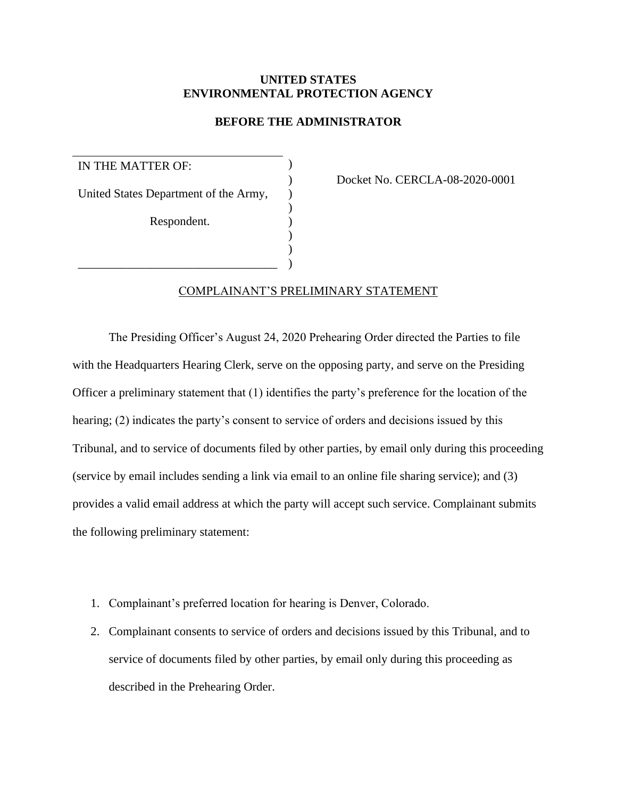## **UNITED STATES ENVIRONMENTAL PROTECTION AGENCY**

## **BEFORE THE ADMINISTRATOR**

IN THE MATTER OF: United States Department of the Army, ) Respondent. ) )

\_\_\_\_\_\_\_\_\_\_\_\_\_\_\_\_\_\_\_\_\_\_\_\_\_\_\_\_\_\_\_\_\_ )

) Docket No. CERCLA-08-2020-0001

## COMPLAINANT'S PRELIMINARY STATEMENT

The Presiding Officer's August 24, 2020 Prehearing Order directed the Parties to file with the Headquarters Hearing Clerk, serve on the opposing party, and serve on the Presiding Officer a preliminary statement that (1) identifies the party's preference for the location of the hearing; (2) indicates the party's consent to service of orders and decisions issued by this Tribunal, and to service of documents filed by other parties, by email only during this proceeding (service by email includes sending a link via email to an online file sharing service); and (3) provides a valid email address at which the party will accept such service. Complainant submits the following preliminary statement:

- 1. Complainant's preferred location for hearing is Denver, Colorado.
- 2. Complainant consents to service of orders and decisions issued by this Tribunal, and to service of documents filed by other parties, by email only during this proceeding as described in the Prehearing Order.